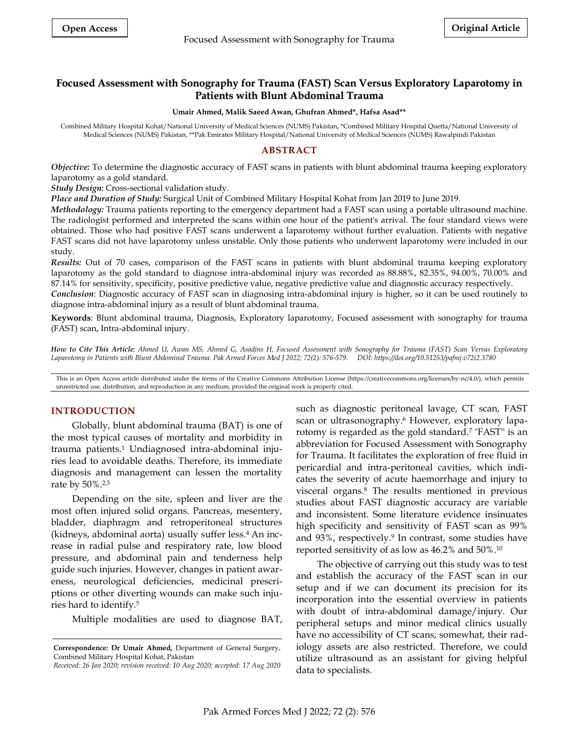# **Focused Assessment with Sonography for Trauma (FAST) Scan Versus Exploratory Laparotomy in Patients with Blunt Abdominal Trauma**

#### **Umair Ahmed, Malik Saeed Awan, Ghufran Ahmed\*, Hafsa Asad\*\***

Combined Military Hospital Kohat/National University of Medical Sciences (NUMS) Pakistan, \*Combined Military Hospital Quetta/National University of Medical Sciences (NUMS) Pakistan, \*\*Pak Emirates Military Hospital/National University of Medical Sciences (NUMS) Rawalpindi Pakistan

### **ABSTRACT**

*Objective:* To determine the diagnostic accuracy of FAST scans in patients with blunt abdominal trauma keeping exploratory laparotomy as a gold standard.

*Study Design:* Cross-sectional validation study.

*Place and Duration of Study:* Surgical Unit of Combined Military Hospital Kohat from Jan 2019 to June 2019.

*Methodology:* Trauma patients reporting to the emergency department had a FAST scan using a portable ultrasound machine. The radiologist performed and interpreted the scans within one hour of the patient's arrival. The four standard views were obtained. Those who had positive FAST scans underwent a laparotomy without further evaluation. Patients with negative FAST scans did not have laparotomy unless unstable. Only those patients who underwent laparotomy were included in our study.

*Results:* Out of 70 cases, comparison of the FAST scans in patients with blunt abdominal trauma keeping exploratory laparotomy as the gold standard to diagnose intra-abdominal injury was recorded as 88.88%, 82.35%, 94.00%, 70.00% and 87.14% for sensitivity, specificity, positive predictive value, negative predictive value and diagnostic accuracy respectively.

*Conclusion*: Diagnostic accuracy of FAST scan in diagnosing intra-abdominal injury is higher, so it can be used routinely to diagnose intra-abdominal injury as a result of blunt abdominal trauma.

**Keywords**: Blunt abdominal trauma, Diagnosis, Exploratory laparotomy, Focused assessment with sonography for trauma (FAST) scan, Intra-abdominal injury.

*How to Cite This Article: Ahmed U, Awan MS, Ahmed G, Asadins H, Focused Assessment with Sonography for Trauma (FAST) Scan Versus Exploratory Laparotomy in Patients with Blunt Abdominal Trauma. Pak Armed Forces Med J 2022; 72(2): 576-579. DOI: https://doi.org/10.51253/pafmj.v72i2.3780*

This is an Open Access article distributed under the terms of the Creative Commons Attribution License (https://creativecommons.org/licenses/by-nc/4.0/), which permits unrestricted use, distribution, and reproduction in any medium, provided the original work is properly cited.

### **INTRODUCTION**

Globally, blunt abdominal trauma (BAT) is one of the most typical causes of mortality and morbidity in trauma patients. <sup>1</sup> Undiagnosed intra-abdominal injuries lead to avoidable deaths. Therefore, its immediate diagnosis and management can lessen the mortality rate by 50%. 2,3

Depending on the site, spleen and liver are the most often injured solid organs. Pancreas, mesentery, bladder, diaphragm and retroperitoneal structures (kidneys, abdominal aorta) usually suffer less. <sup>4</sup> An increase in radial pulse and respiratory rate, low blood pressure, and abdominal pain and tenderness help guide such injuries. However, changes in patient awareness, neurological deficiencies, medicinal prescriptions or other diverting wounds can make such injuries hard to identify. 5

Multiple modalities are used to diagnose BAT,

such as diagnostic peritoneal lavage, CT scan, FAST scan or ultrasonography. <sup>6</sup> However, exploratory laparotomy is regarded as the gold standard. 7 'FAST'' is an abbreviation for Focused Assessment with Sonography for Trauma. It facilitates the exploration of free fluid in pericardial and intra-peritoneal cavities, which indicates the severity of acute haemorrhage and injury to visceral organs. <sup>8</sup> The results mentioned in previous studies about FAST diagnostic accuracy are variable and inconsistent. Some literature evidence insinuates high specificity and sensitivity of FAST scan as 99% and 93%, respectively. 9 In contrast, some studies have reported sensitivity of as low as 46.2% and 50%. 10

The objective of carrying out this study was to test and establish the accuracy of the FAST scan in our setup and if we can document its precision for its incorporation into the essential overview in patients with doubt of intra-abdominal damage/injury. Our peripheral setups and minor medical clinics usually have no accessibility of CT scans; somewhat, their radiology assets are also restricted. Therefore, we could utilize ultrasound as an assistant for giving helpful data to specialists.

**Correspondence: Dr Umair Ahmed,** Department of General Surgery, Combined Military Hospital Kohat, Pakistan

*Received: 26 Jan 2020; revision received: 10 Aug 2020; accepted: 17 Aug 2020*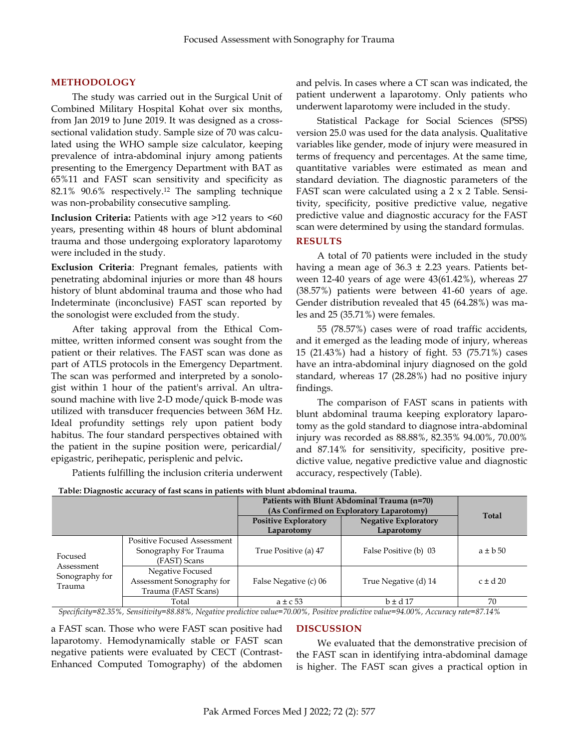# **METHODOLOGY**

The study was carried out in the Surgical Unit of Combined Military Hospital Kohat over six months, from Jan 2019 to June 2019. It was designed as a crosssectional validation study. Sample size of 70 was calculated using the WHO sample size calculator, keeping prevalence of intra-abdominal injury among patients presenting to the Emergency Department with BAT as 65%11 and FAST scan sensitivity and specificity as 82.1% 90.6% respectively.<sup>12</sup> The sampling technique was non-probability consecutive sampling.

**Inclusion Criteria:** Patients with age >12 years to <60 years, presenting within 48 hours of blunt abdominal trauma and those undergoing exploratory laparotomy were included in the study.

**Exclusion Criteria**: Pregnant females, patients with penetrating abdominal injuries or more than 48 hours history of blunt abdominal trauma and those who had Indeterminate (inconclusive) FAST scan reported by the sonologist were excluded from the study.

After taking approval from the Ethical Committee, written informed consent was sought from the patient or their relatives. The FAST scan was done as part of ATLS protocols in the Emergency Department. The scan was performed and interpreted by a sonologist within 1 hour of the patient's arrival. An ultrasound machine with live 2-D mode/quick B-mode was utilized with transducer frequencies between 36M Hz. Ideal profundity settings rely upon patient body habitus. The four standard perspectives obtained with the patient in the supine position were, pericardial/ epigastric, perihepatic, perisplenic and pelvic**.**

Patients fulfilling the inclusion criteria underwent

and pelvis. In cases where a CT scan was indicated, the patient underwent a laparotomy. Only patients who underwent laparotomy were included in the study.

Statistical Package for Social Sciences (SPSS) version 25.0 was used for the data analysis. Qualitative variables like gender, mode of injury were measured in terms of frequency and percentages. At the same time, quantitative variables were estimated as mean and standard deviation. The diagnostic parameters of the FAST scan were calculated using a 2 x 2 Table. Sensitivity, specificity, positive predictive value, negative predictive value and diagnostic accuracy for the FAST scan were determined by using the standard formulas.

## **RESULTS**

A total of 70 patients were included in the study having a mean age of  $36.3 \pm 2.23$  years. Patients between 12-40 years of age were 43(61.42%), whereas 27 (38.57%) patients were between 41-60 years of age. Gender distribution revealed that 45 (64.28%) was males and 25 (35.71%) were females.

55 (78.57%) cases were of road traffic accidents, and it emerged as the leading mode of injury, whereas 15 (21.43%) had a history of fight. 53 (75.71%) cases have an intra-abdominal injury diagnosed on the gold standard, whereas 17 (28.28%) had no positive injury findings.

The comparison of FAST scans in patients with blunt abdominal trauma keeping exploratory laparotomy as the gold standard to diagnose intra-abdominal injury was recorded as 88.88%, 82.35% 94.00%, 70.00% and 87.14% for sensitivity, specificity, positive predictive value, negative predictive value and diagnostic accuracy, respectively (Table).

| Table: Diagnostic accuracy of fast scans in patients with blunt abdominal trauma. |                                                                             |                                             |                             |                |  |
|-----------------------------------------------------------------------------------|-----------------------------------------------------------------------------|---------------------------------------------|-----------------------------|----------------|--|
|                                                                                   |                                                                             | Patients with Blunt Abdominal Trauma (n=70) |                             | Total          |  |
|                                                                                   |                                                                             | (As Confirmed on Exploratory Laparotomy)    |                             |                |  |
|                                                                                   |                                                                             | <b>Positive Exploratory</b>                 | <b>Negative Exploratory</b> |                |  |
|                                                                                   |                                                                             | Laparotomy                                  | Laparotomy                  |                |  |
| Focused<br>Assessment<br>Sonography for<br>Trauma                                 | <b>Positive Focused Assessment</b><br>Sonography For Trauma<br>(FAST) Scans | True Positive (a) 47                        | False Positive (b) 03       | $a \pm b$ 50   |  |
|                                                                                   | Negative Focused<br>Assessment Sonography for<br>Trauma (FAST Scans)        | False Negative (c) 06                       | True Negative (d) 14        | $c \pm d$ 20   |  |
|                                                                                   | Total                                                                       | $a \pm c$ 53<br>________                    | $b \pm d$ 17<br>.           | 70<br>$\cdots$ |  |

*Specificity=82.35%, Sensitivity=88.88%, Negative predictive value=70.00%, Positive predictive value=94.00%, Accuracy rate=87.14%*

a FAST scan. Those who were FAST scan positive had laparotomy. Hemodynamically stable or FAST scan negative patients were evaluated by CECT (Contrast-Enhanced Computed Tomography) of the abdomen

### **DISCUSSION**

We evaluated that the demonstrative precision of the FAST scan in identifying intra-abdominal damage is higher. The FAST scan gives a practical option in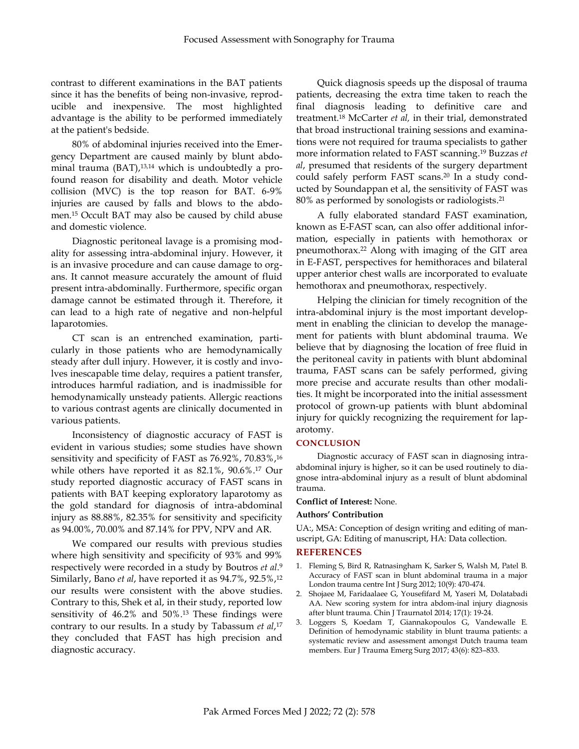contrast to different examinations in the BAT patients since it has the benefits of being non-invasive, reproducible and inexpensive. The most highlighted advantage is the ability to be performed immediately at the patient's bedside.

80% of abdominal injuries received into the Emergency Department are caused mainly by blunt abdominal trauma (BAT), 13,14 which is undoubtedly a profound reason for disability and death. Motor vehicle collision (MVC) is the top reason for BAT. 6-9% injuries are caused by falls and blows to the abdomen. <sup>15</sup> Occult BAT may also be caused by child abuse and domestic violence.

Diagnostic peritoneal lavage is a promising modality for assessing intra-abdominal injury. However, it is an invasive procedure and can cause damage to organs. It cannot measure accurately the amount of fluid present intra-abdominally. Furthermore, specific organ damage cannot be estimated through it. Therefore, it can lead to a high rate of negative and non-helpful laparotomies.

CT scan is an entrenched examination, particularly in those patients who are hemodynamically steady after dull injury. However, it is costly and involves inescapable time delay, requires a patient transfer, introduces harmful radiation, and is inadmissible for hemodynamically unsteady patients. Allergic reactions to various contrast agents are clinically documented in various patients.

Inconsistency of diagnostic accuracy of FAST is evident in various studies; some studies have shown sensitivity and specificity of FAST as 76.92%, 70.83%, 16 while others have reported it as 82.1%, 90.6%. <sup>17</sup> Our study reported diagnostic accuracy of FAST scans in patients with BAT keeping exploratory laparotomy as the gold standard for diagnosis of intra-abdominal injury as 88.88%, 82.35% for sensitivity and specificity as 94.00%, 70.00% and 87.14% for PPV, NPV and AR.

We compared our results with previous studies where high sensitivity and specificity of 93% and 99% respectively were recorded in a study by Boutros *et al*. 9 Similarly, Bano *et al*, have reported it as 94.7%, 92.5%, 12 our results were consistent with the above studies. Contrary to this, Shek et al, in their study, reported low sensitivity of 46.2% and 50%. <sup>13</sup> These findings were contrary to our results. In a study by Tabassum *et al*, 17 they concluded that FAST has high precision and diagnostic accuracy.

Quick diagnosis speeds up the disposal of trauma patients, decreasing the extra time taken to reach the final diagnosis leading to definitive care and treatment. <sup>18</sup> McCarter *et al,* in their trial, demonstrated that broad instructional training sessions and examinations were not required for trauma specialists to gather more information related to FAST scanning. <sup>19</sup> Buzzas *et al*, presumed that residents of the surgery department could safely perform FAST scans. <sup>20</sup> In a study conducted by Soundappan et al, the sensitivity of FAST was 80% as performed by sonologists or radiologists. 21

A fully elaborated standard FAST examination, known as E-FAST scan, can also offer additional information, especially in patients with hemothorax or pneumothorax.<sup>22</sup> Along with imaging of the GIT area in E-FAST, perspectives for hemithoraces and bilateral upper anterior chest walls are incorporated to evaluate hemothorax and pneumothorax, respectively.

Helping the clinician for timely recognition of the intra-abdominal injury is the most important development in enabling the clinician to develop the management for patients with blunt abdominal trauma. We believe that by diagnosing the location of free fluid in the peritoneal cavity in patients with blunt abdominal trauma, FAST scans can be safely performed, giving more precise and accurate results than other modalities. It might be incorporated into the initial assessment protocol of grown-up patients with blunt abdominal injury for quickly recognizing the requirement for laparotomy.

### **CONCLUSION**

Diagnostic accuracy of FAST scan in diagnosing intraabdominal injury is higher, so it can be used routinely to diagnose intra-abdominal injury as a result of blunt abdominal trauma.

### **Conflict of Interest:** None.

### **Authors' Contribution**

UA:, MSA: Conception of design writing and editing of manuscript, GA: Editing of manuscript, HA: Data collection.

#### **REFERENCES**

- 1. Fleming S, Bird R, Ratnasingham K, Sarker S, Walsh M, Patel B. Accuracy of FAST scan in blunt abdominal trauma in a major London trauma centre Int J Surg 2012; 10(9): 470-474.
- 2. Shojaee M, Faridaalaee G, Yousefifard M, Yaseri M, Dolatabadi AA. New scoring system for intra abdom-inal injury diagnosis after blunt trauma. Chin J Traurnatol 2014; 17(1): 19-24.
- 3. Loggers S, Koedam T, Giannakopoulos G, Vandewalle E. Definition of hemodynamic stability in blunt trauma patients: a systematic review and assessment amongst Dutch trauma team members. Eur J Trauma Emerg Surg 2017; 43(6): 823–833.